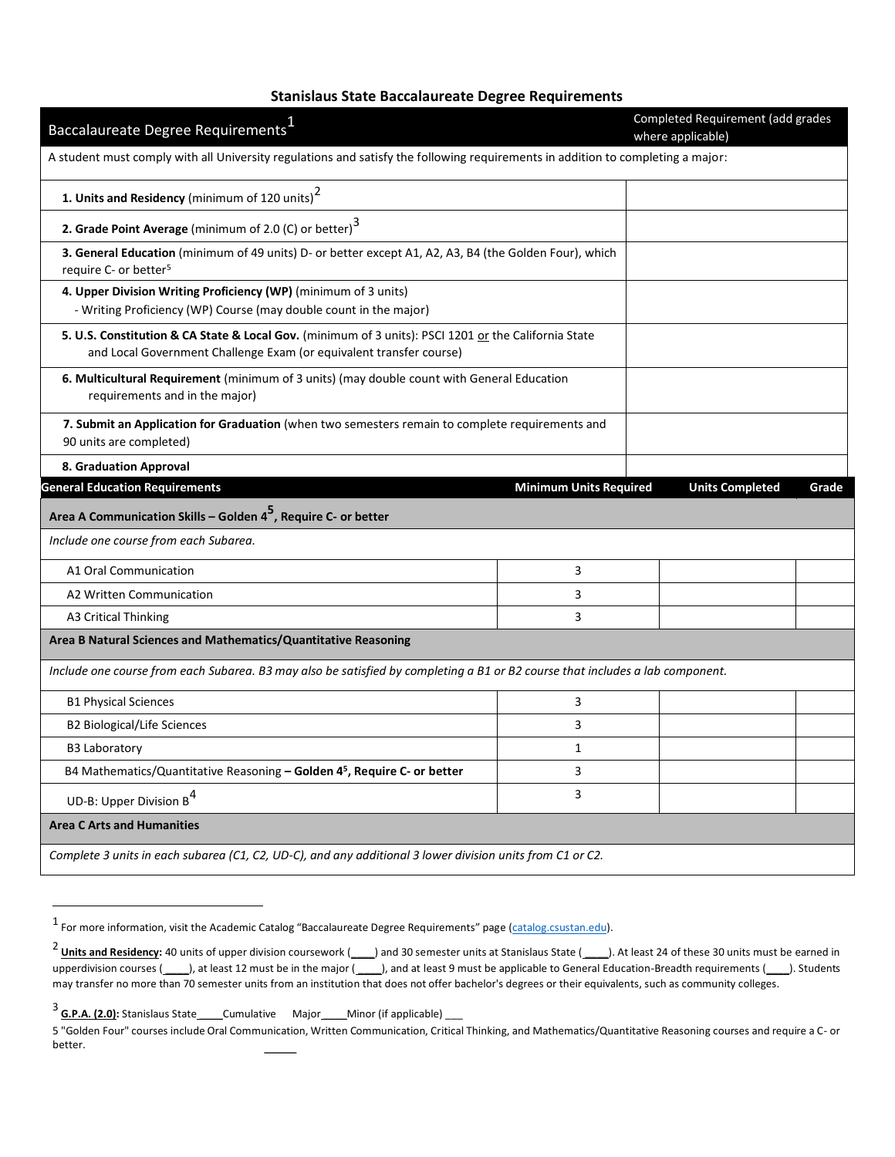# **Stanislaus State Baccalaureate Degree Requirements**

| Baccalaureate Degree Requirements <sup>1</sup>                                                                                                                              |                               | Completed Requirement (add grades<br>where applicable) |       |
|-----------------------------------------------------------------------------------------------------------------------------------------------------------------------------|-------------------------------|--------------------------------------------------------|-------|
| A student must comply with all University regulations and satisfy the following requirements in addition to completing a major:                                             |                               |                                                        |       |
| 1. Units and Residency (minimum of 120 units) <sup>2</sup>                                                                                                                  |                               |                                                        |       |
| 2. Grade Point Average (minimum of 2.0 (C) or better) $3$                                                                                                                   |                               |                                                        |       |
| 3. General Education (minimum of 49 units) D- or better except A1, A2, A3, B4 (the Golden Four), which<br>require C- or better <sup>5</sup>                                 |                               |                                                        |       |
| 4. Upper Division Writing Proficiency (WP) (minimum of 3 units)<br>- Writing Proficiency (WP) Course (may double count in the major)                                        |                               |                                                        |       |
| 5. U.S. Constitution & CA State & Local Gov. (minimum of 3 units): PSCI 1201 or the California State<br>and Local Government Challenge Exam (or equivalent transfer course) |                               |                                                        |       |
| 6. Multicultural Requirement (minimum of 3 units) (may double count with General Education<br>requirements and in the major)                                                |                               |                                                        |       |
| 7. Submit an Application for Graduation (when two semesters remain to complete requirements and<br>90 units are completed)                                                  |                               |                                                        |       |
| 8. Graduation Approval                                                                                                                                                      |                               |                                                        |       |
| <b>General Education Requirements</b>                                                                                                                                       | <b>Minimum Units Required</b> | <b>Units Completed</b>                                 | Grade |
| Area A Communication Skills – Golden 4 <sup>5</sup> , Require C- or better                                                                                                  |                               |                                                        |       |
| Include one course from each Subarea.                                                                                                                                       |                               |                                                        |       |
| A1 Oral Communication                                                                                                                                                       | 3                             |                                                        |       |
| A2 Written Communication                                                                                                                                                    | 3                             |                                                        |       |
| <b>A3 Critical Thinking</b>                                                                                                                                                 | 3                             |                                                        |       |
| Area B Natural Sciences and Mathematics/Quantitative Reasoning                                                                                                              |                               |                                                        |       |
| Include one course from each Subarea. B3 may also be satisfied by completing a B1 or B2 course that includes a lab component.                                               |                               |                                                        |       |
| <b>B1 Physical Sciences</b>                                                                                                                                                 | 3                             |                                                        |       |
| B2 Biological/Life Sciences                                                                                                                                                 | 3                             |                                                        |       |
| <b>B3 Laboratory</b>                                                                                                                                                        | $\mathbf{1}$                  |                                                        |       |
| B4 Mathematics/Quantitative Reasoning - Golden 45, Require C- or better                                                                                                     | 3                             |                                                        |       |
| UD-B: Upper Division B <sup>4</sup>                                                                                                                                         | 3                             |                                                        |       |
| <b>Area C Arts and Humanities</b>                                                                                                                                           |                               |                                                        |       |
| Complete 3 units in each subarea (C1, C2, UD-C), and any additional 3 lower division units from C1 or C2.                                                                   |                               |                                                        |       |

<sup>1&</sup>lt;br><sup>1</sup> For more information, visit the Academic Catalog "Baccalaureate Degree Requirements" page (catalog.csustan.edu).

<sup>&</sup>lt;sup>2</sup> Units and Residency: 40 units of upper division coursework (\_\_\_\_) and 30 semester units at Stanislaus State (\_\_\_\_). At least 24 of these 30 units must be earned in upperdivision courses (\_\_\_\_\_), at least 12 must be in the major (\_\_\_\_\_), and at least 9 must be applicable to General Education-Breadth requirements (\_\_\_\_\_). Students may transfer no more than 70 semester units from an institution that does not offer bachelor's degrees or their equivalents, such as community colleges.

<sup>&</sup>lt;sup>3</sup> G.P.A. (2.0): Stanislaus State \_\_\_\_\_Cumulative Major \_\_\_\_Minor (if applicable) \_\_\_

<sup>5 &</sup>quot;Golden Four" courses include Oral Communication, Written Communication, Critical Thinking, and Mathematics/Quantitative Reasoning courses and require a C- or better.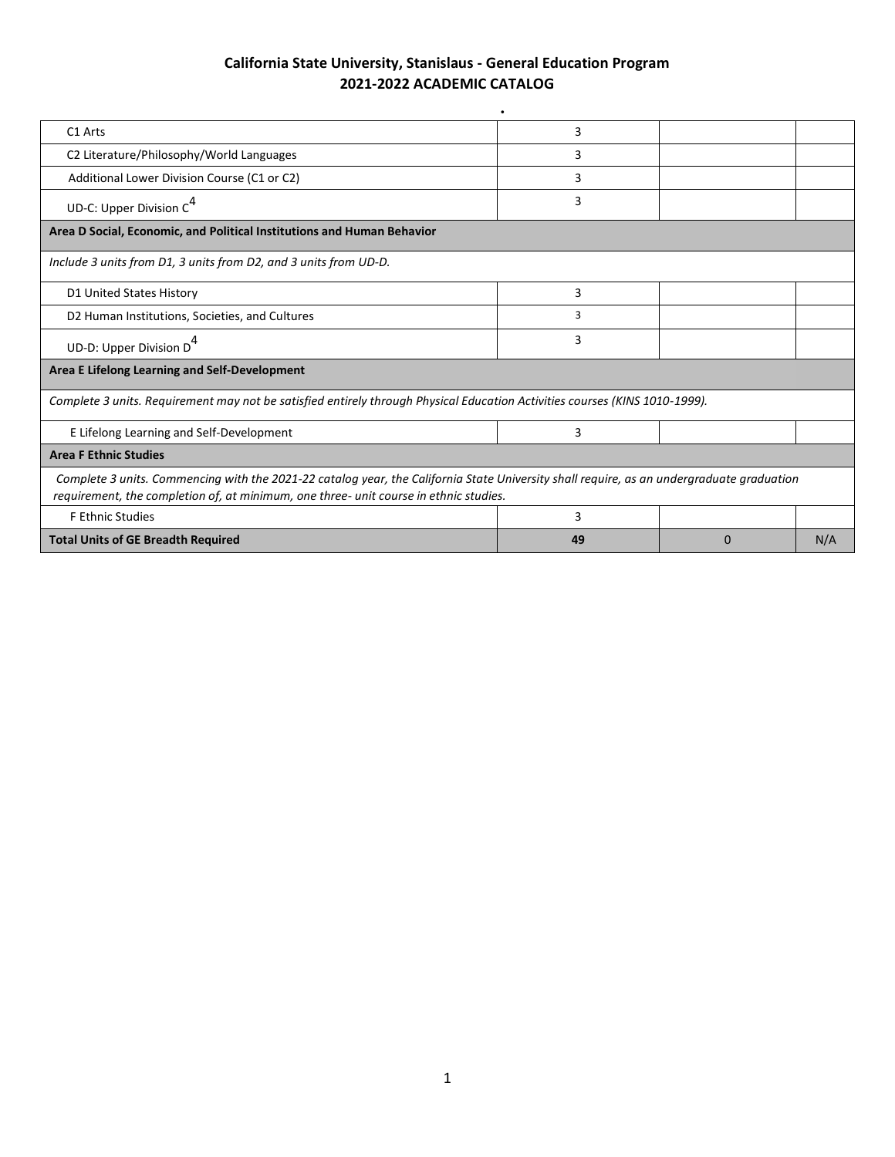| C1 Arts                                                                                                                                                                                                                            | 3  |   |     |  |  |
|------------------------------------------------------------------------------------------------------------------------------------------------------------------------------------------------------------------------------------|----|---|-----|--|--|
| C2 Literature/Philosophy/World Languages                                                                                                                                                                                           | 3  |   |     |  |  |
| Additional Lower Division Course (C1 or C2)                                                                                                                                                                                        | 3  |   |     |  |  |
| UD-C: Upper Division $C^4$                                                                                                                                                                                                         | 3  |   |     |  |  |
| Area D Social, Economic, and Political Institutions and Human Behavior                                                                                                                                                             |    |   |     |  |  |
| Include 3 units from D1, 3 units from D2, and 3 units from UD-D.                                                                                                                                                                   |    |   |     |  |  |
| D1 United States History                                                                                                                                                                                                           | 3  |   |     |  |  |
| D2 Human Institutions, Societies, and Cultures                                                                                                                                                                                     | 3  |   |     |  |  |
| UD-D: Upper Division D <sup>4</sup>                                                                                                                                                                                                | 3  |   |     |  |  |
| Area E Lifelong Learning and Self-Development                                                                                                                                                                                      |    |   |     |  |  |
| Complete 3 units. Requirement may not be satisfied entirely through Physical Education Activities courses (KINS 1010-1999).                                                                                                        |    |   |     |  |  |
| E Lifelong Learning and Self-Development                                                                                                                                                                                           | 3  |   |     |  |  |
| <b>Area F Ethnic Studies</b>                                                                                                                                                                                                       |    |   |     |  |  |
| Complete 3 units. Commencing with the 2021-22 catalog year, the California State University shall require, as an undergraduate graduation<br>requirement, the completion of, at minimum, one three- unit course in ethnic studies. |    |   |     |  |  |
| <b>F Ethnic Studies</b>                                                                                                                                                                                                            | 3  |   |     |  |  |
| <b>Total Units of GE Breadth Required</b>                                                                                                                                                                                          | 49 | 0 | N/A |  |  |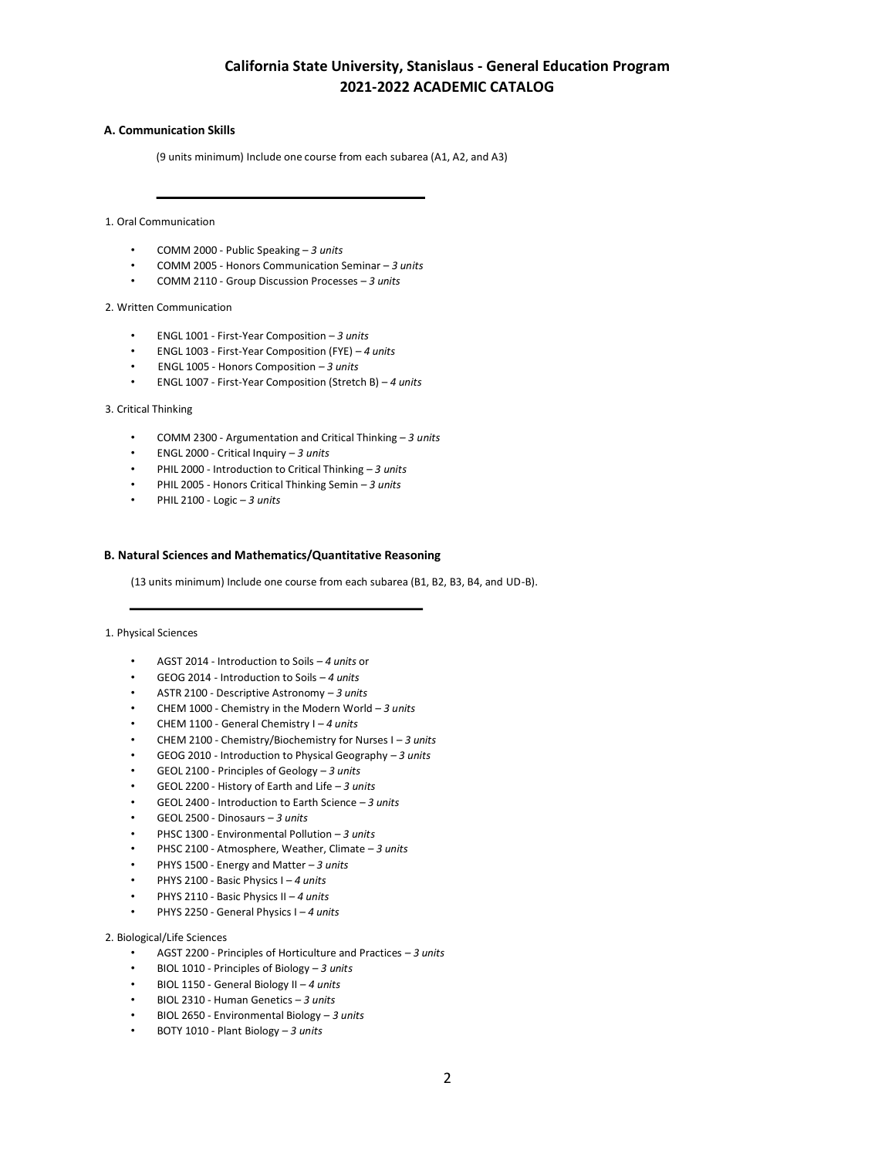## **A. Communication Skills**

(9 units minimum) Include one course from each subarea (A1, A2, and A3)

1. Oral Communication

- COMM 2000 Public Speaking *3 units*
- COMM 2005 Honors Communication Seminar *3 units*
- COMM 2110 Group Discussion Processes *3 units*

### 2. Written Communication

- ENGL 1001 First-Year Composition *3 units*
- ENGL 1003 First-Year Composition (FYE) *– 4 units*
- ENGL 1005 Honors Composition *– 3 units*
- ENGL 1007 First-Year Composition (Stretch B) *4 units*

### 3. Critical Thinking

- COMM 2300 Argumentation and Critical Thinking *– 3 units*
- ENGL 2000 Critical Inquiry *– 3 units*
- PHIL 2000 Introduction to Critical Thinking *– 3 units*
- PHIL 2005 Honors Critical Thinking Semin *– 3 units*
- PHIL 2100 Logic *– 3 units*

## **B. Natural Sciences and Mathematics/Quantitative Reasoning**

(13 units minimum) Include one course from each subarea (B1, B2, B3, B4, and UD-B).

### 1. Physical Sciences

- AGST 2014 Introduction to Soils *– 4 units* or
- GEOG 2014 Introduction to Soils *– 4 units*
- ASTR 2100 Descriptive Astronomy *– 3 units*
- CHEM 1000 Chemistry in the Modern World *– 3 units*
- CHEM 1100 General Chemistry I *– 4 units*
- CHEM 2100 Chemistry/Biochemistry for Nurses I *– 3 units*
- GEOG 2010 Introduction to Physical Geography *– 3 units*
- GEOL 2100 Principles of Geology *– 3 units*
- GEOL 2200 History of Earth and Life *– 3 units*
- GEOL 2400 Introduction to Earth Science *– 3 units*
- GEOL 2500 Dinosaurs *– 3 units*
- PHSC 1300 Environmental Pollution *– 3 units*
- PHSC 2100 Atmosphere, Weather, Climate *– 3 units*
- PHYS 1500 Energy and Matter *– 3 units*
- PHYS 2100 Basic Physics I *– 4 units*
- PHYS 2110 Basic Physics II *– 4 units*
- PHYS 2250 General Physics I *– 4 units*

### 2. Biological/Life Sciences

- AGST 2200 Principles of Horticulture and Practices *– 3 units*
- BIOL 1010 Principles of Biology *– 3 units*
- BIOL 1150 General Biology II *– 4 units*
- BIOL 2310 Human Genetics *– 3 units*
- BIOL 2650 Environmental Biology *– 3 units*
- BOTY 1010 Plant Biology *– 3 units*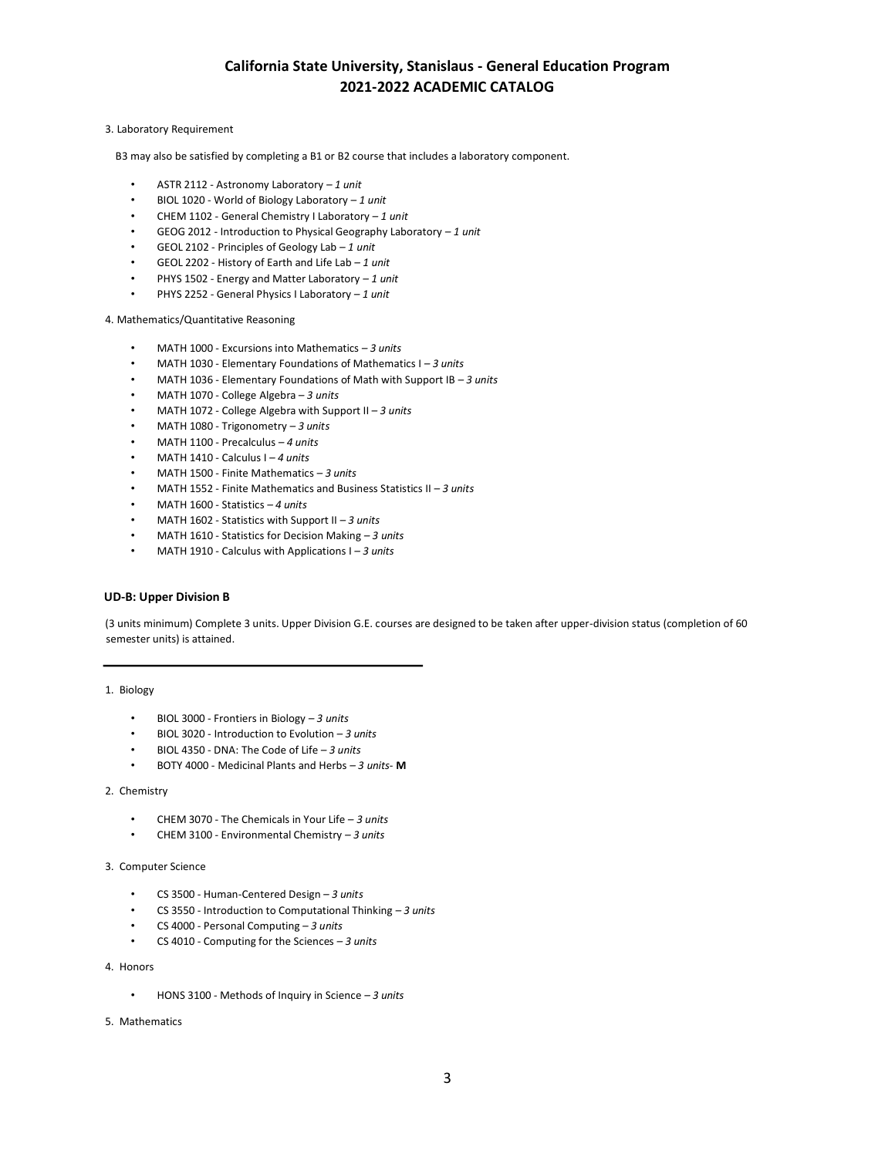## 3. Laboratory Requirement

B3 may also be satisfied by completing a B1 or B2 course that includes a laboratory component.

- ASTR 2112 Astronomy Laboratory *– 1 unit*
- BIOL 1020 World of Biology Laboratory *– 1 unit*
- CHEM 1102 General Chemistry I Laboratory *– 1 unit*
- GEOG 2012 Introduction to Physical Geography Laboratory *– 1 unit*
- GEOL 2102 Principles of Geology Lab *– 1 unit*
- GEOL 2202 History of Earth and Life Lab *– 1 unit*
- PHYS 1502 Energy and Matter Laboratory *– 1 unit*
- PHYS 2252 General Physics I Laboratory *– 1 unit*

4. Mathematics/Quantitative Reasoning

- MATH 1000 Excursions into Mathematics *– 3 units*
- MATH 1030 Elementary Foundations of Mathematics I *– 3 units*
- MATH 1036 Elementary Foundations of Math with Support IB *– 3 units*
- MATH 1070 College Algebra *– 3 units*
- MATH 1072 College Algebra with Support II *– 3 units*
- MATH 1080 Trigonometry *– 3 units*
- MATH 1100 Precalculus *– 4 units*
- MATH 1410 Calculus I *– 4 units*
- MATH 1500 Finite Mathematics *– 3 units*
- MATH 1552 Finite Mathematics and Business Statistics II *– 3 units*
- MATH 1600 Statistics *– 4 units*
- MATH 1602 Statistics with Support II *– 3 units*
- MATH 1610 Statistics for Decision Making *– 3 units*
- MATH 1910 Calculus with Applications I *– 3 units*

# **UD-B: Upper Division B**

(3 units minimum) Complete 3 units. Upper Division G.E. courses are designed to be taken after upper-division status (completion of 60 semester units) is attained.

### 1. Biology

- BIOL 3000 Frontiers in Biology *– 3 units*
- BIOL 3020 Introduction to Evolution *– 3 units*
- BIOL 4350 DNA: The Code of Life *– 3 units*
- BOTY 4000 Medicinal Plants and Herbs *– 3 units* **M**

#### 2. Chemistry

- CHEM 3070 The Chemicals in Your Life *– 3 units*
- CHEM 3100 Environmental Chemistry *– 3 units*

### 3. Computer Science

- CS 3500 Human-Centered Design *– 3 units*
- CS 3550 Introduction to Computational Thinking *– 3 units*
- CS 4000 Personal Computing *– 3 units*
- CS 4010 Computing for the Sciences *– 3 units*
- 4. Honors
	- HONS 3100 Methods of Inquiry in Science *– 3 units*
- 5. Mathematics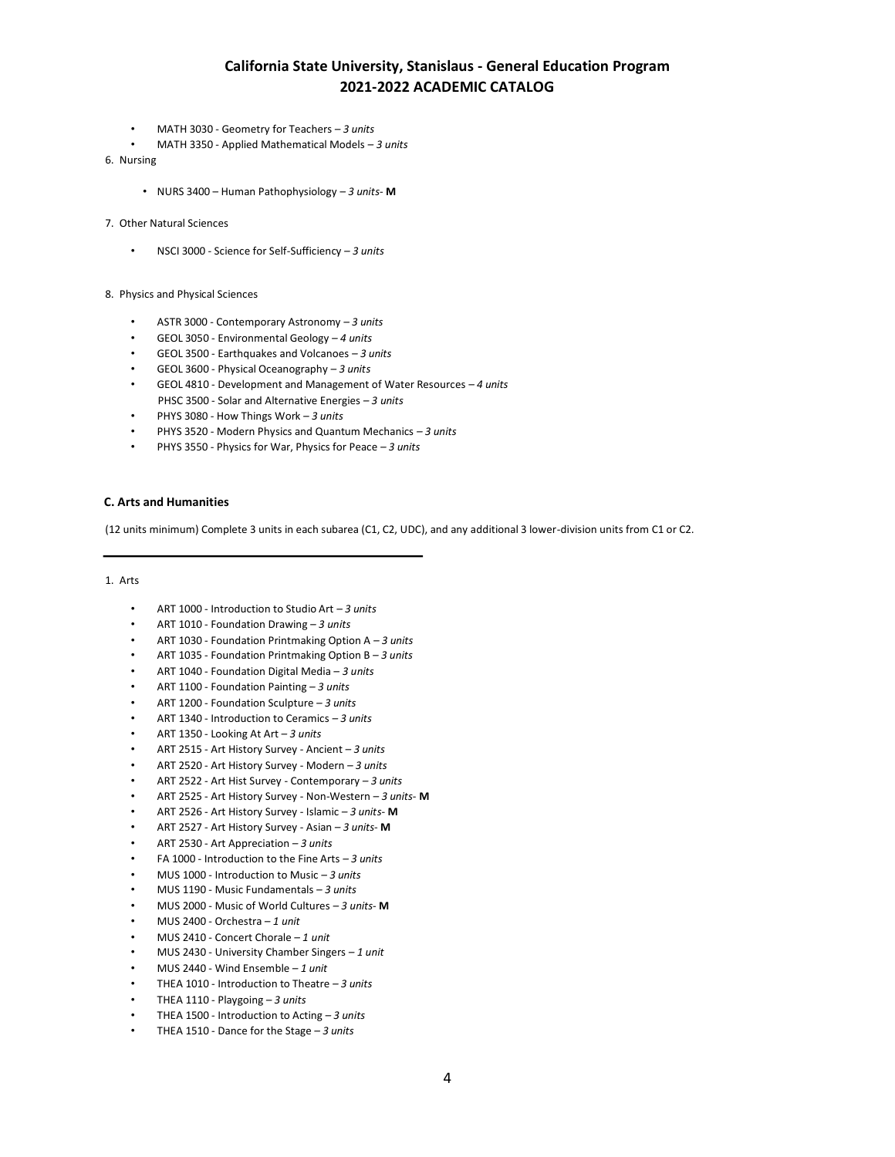- MATH 3030 Geometry for Teachers *– 3 units*
- MATH 3350 Applied Mathematical Models *– 3 units*
- 6. Nursing
	- NURS 3400 Human Pathophysiology *3 units* **M**
- 7. Other Natural Sciences
	- NSCI 3000 Science for Self-Sufficiency *– 3 units*
- 8. Physics and Physical Sciences
	- ASTR 3000 Contemporary Astronomy *– 3 units*
	- GEOL 3050 Environmental Geology *– 4 units*
	- GEOL 3500 Earthquakes and Volcanoes *– 3 units*
	- GEOL 3600 Physical Oceanography *– 3 units*
	- GEOL 4810 Development and Management of Water Resources *– 4 units* PHSC 3500 - Solar and Alternative Energies *– 3 units*
	- PHYS 3080 How Things Work *– 3 units*
	- PHYS 3520 Modern Physics and Quantum Mechanics *– 3 units*
	- PHYS 3550 Physics for War, Physics for Peace *– 3 units*

## **C. Arts and Humanities**

(12 units minimum) Complete 3 units in each subarea (C1, C2, UDC), and any additional 3 lower-division units from C1 or C2.

# 1. Arts

- ART 1000 Introduction to Studio Art *– 3 units*
- ART 1010 Foundation Drawing *– 3 units*
- ART 1030 Foundation Printmaking Option A *– 3 units*
- ART 1035 Foundation Printmaking Option B *– 3 units*
- ART 1040 Foundation Digital Media *– 3 units*
- ART 1100 Foundation Painting *– 3 units*
- ART 1200 Foundation Sculpture *– 3 units*
- ART 1340 Introduction to Ceramics *– 3 units*
- ART 1350 Looking At Art *– 3 units*
- ART 2515 Art History Survey Ancient *– 3 units*
- ART 2520 Art History Survey Modern *– 3 units*
- ART 2522 Art Hist Survey Contemporary *– 3 units*
- ART 2525 Art History Survey Non-Western *– 3 units* **M**
- ART 2526 Art History Survey Islamic *– 3 units* **M**
- ART 2527 Art History Survey Asian *– 3 units* **M**
- ART 2530 Art Appreciation *– 3 units*
- FA 1000 Introduction to the Fine Arts *– 3 units*
- MUS 1000 Introduction to Music *– 3 units*
- MUS 1190 Music Fundamentals *– 3 units*
- MUS 2000 Music of World Cultures *– 3 units* **M**
- MUS 2400 Orchestra *– 1 unit*
- MUS 2410 Concert Chorale *– 1 unit*
- MUS 2430 University Chamber Singers *– 1 unit*
- MUS 2440 Wind Ensemble *– 1 unit*
- THEA 1010 Introduction to Theatre *– 3 units*
- THEA 1110 Playgoing *– 3 units*
- THEA 1500 Introduction to Acting *– 3 units*
- THEA 1510 Dance for the Stage *– 3 units*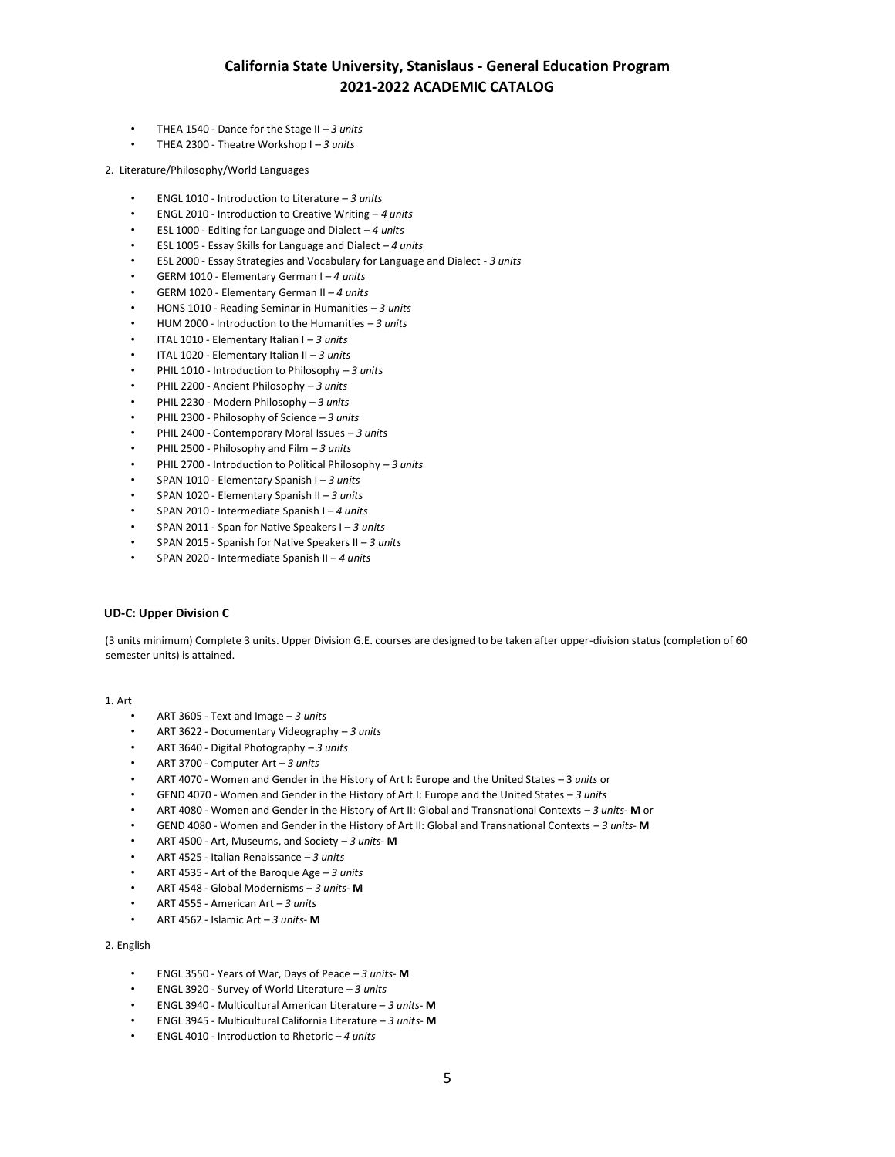- THEA 1540 Dance for the Stage II *– 3 units*
- THEA 2300 Theatre Workshop I *– 3 units*

2. Literature/Philosophy/World Languages

- ENGL 1010 Introduction to Literature *– 3 units*
- ENGL 2010 Introduction to Creative Writing *– 4 units*
- ESL 1000 Editing for Language and Dialect *– 4 units*
- ESL 1005 Essay Skills for Language and Dialect *– 4 units*
- ESL 2000 Essay Strategies and Vocabulary for Language and Dialect *3 units*
- GERM 1010 Elementary German I *– 4 units*
- GERM 1020 Elementary German II *– 4 units*
- HONS 1010 Reading Seminar in Humanities *– 3 units*
- HUM 2000 Introduction to the Humanities *– 3 units*
- ITAL 1010 Elementary Italian I *– 3 units*
- ITAL 1020 Elementary Italian II *– 3 units*
- PHIL 1010 Introduction to Philosophy *– 3 units*
- PHIL 2200 Ancient Philosophy *– 3 units*
- PHIL 2230 Modern Philosophy *– 3 units*
- PHIL 2300 Philosophy of Science *– 3 units*
- PHIL 2400 Contemporary Moral Issues *– 3 units*
- PHIL 2500 Philosophy and Film *– 3 units*
- PHIL 2700 Introduction to Political Philosophy *– 3 units*
- SPAN 1010 Elementary Spanish I *– 3 units*
- SPAN 1020 Elementary Spanish II *– 3 units*
- SPAN 2010 Intermediate Spanish I *– 4 units*
- SPAN 2011 Span for Native Speakers I *– 3 units*
- SPAN 2015 Spanish for Native Speakers II *– 3 units*
- SPAN 2020 Intermediate Spanish II *– 4 units*

# **UD-C: Upper Division C**

(3 units minimum) Complete 3 units. Upper Division G.E. courses are designed to be taken after upper-division status (completion of 60 semester units) is attained.

#### 1. Art

- ART 3605 Text and Image *– 3 units*
- ART 3622 Documentary Videography *– 3 units*
- ART 3640 Digital Photography *– 3 units*
- ART 3700 Computer Art *– 3 units*
- ART 4070 Women and Gender in the History of Art I: Europe and the United States *–* 3 *units* or
- GEND 4070 Women and Gender in the History of Art I: Europe and the United States *– 3 units*
- ART 4080 Women and Gender in the History of Art II: Global and Transnational Contexts *– 3 units* **M** or
- GEND 4080 Women and Gender in the History of Art II: Global and Transnational Contexts *– 3 units* **M**
- ART 4500 Art, Museums, and Society *– 3 units* **M**
- ART 4525 Italian Renaissance *– 3 units*
- ART 4535 Art of the Baroque Age *– 3 units*
- ART 4548 Global Modernisms *– 3 units* **M**
- ART 4555 American Art *– 3 units*
- ART 4562 Islamic Art *– 3 units* **M**

### 2. English

- ENGL 3550 Years of War, Days of Peace *– 3 units* **M**
- ENGL 3920 Survey of World Literature *– 3 units*
- ENGL 3940 Multicultural American Literature *– 3 units* **M**
- ENGL 3945 Multicultural California Literature *– 3 units* **M**
- ENGL 4010 Introduction to Rhetoric *– 4 units*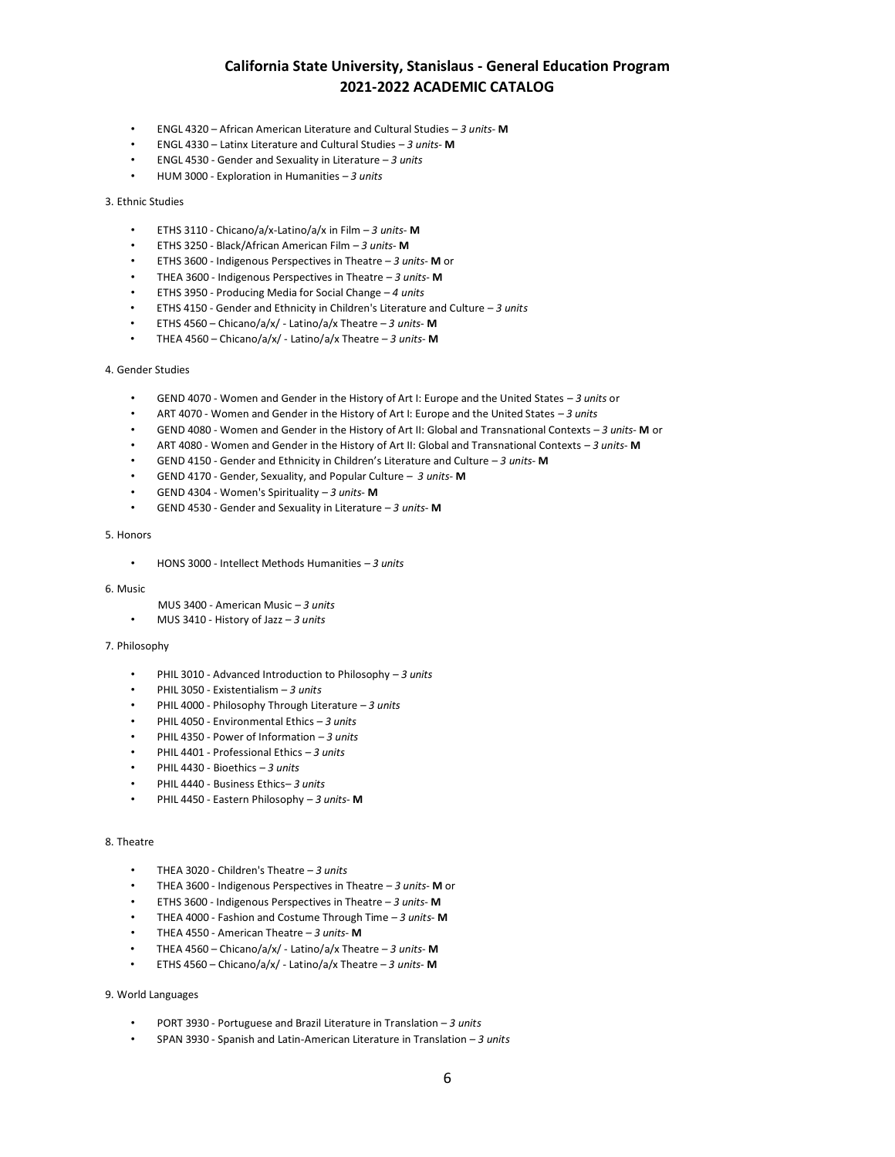- ENGL 4320 African American Literature and Cultural Studies *3 units-* **M**
- ENGL 4330 Latinx Literature and Cultural Studies *3 units-* **M**
- ENGL 4530 Gender and Sexuality in Literature *– 3 units*
- HUM 3000 Exploration in Humanities *– 3 units*

### 3. Ethnic Studies

- ETHS 3110 Chicano/a/x-Latino/a/x in Film *– 3 units* **M**
- ETHS 3250 Black/African American Film *– 3 units* **M**
- ETHS 3600 Indigenous Perspectives in Theatre *– 3 units* **M** or
- THEA 3600 Indigenous Perspectives in Theatre *– 3 units* **M**
- ETHS 3950 Producing Media for Social Change *4 units*
- ETHS 4150 Gender and Ethnicity in Children's Literature and Culture *– 3 units*
- ETHS 4560 Chicano/a/x/ Latino/a/x Theatre *– 3 units* **M**
- THEA 4560 Chicano/a/x/ Latino/a/x Theatre *– 3 units* **M**

### 4. Gender Studies

- GEND 4070 Women and Gender in the History of Art I: Europe and the United States *– 3 units* or
- ART 4070 Women and Gender in the History of Art I: Europe and the United States *– 3 units*
- GEND 4080 Women and Gender in the History of Art II: Global and Transnational Contexts *– 3 units* **M** or
- ART 4080 Women and Gender in the History of Art II: Global and Transnational Contexts *– 3 units* **M**
- GEND 4150 Gender and Ethnicity in Children's Literature and Culture *3 units-* **M**
- GEND 4170 Gender, Sexuality, and Popular Culture *– 3 units* **M**
- GEND 4304 Women's Spirituality *– 3 units* **M**
- GEND 4530 Gender and Sexuality in Literature *– 3 units* **M**

## 5. Honors

• HONS 3000 - Intellect Methods Humanities *– 3 units*

#### 6. Music

- MUS 3400 American Music *– 3 units*
- MUS 3410 History of Jazz *– 3 units*

#### 7. Philosophy

- PHIL 3010 Advanced Introduction to Philosophy *– 3 units*
- PHIL 3050 Existentialism *– 3 units*
- PHIL 4000 Philosophy Through Literature *– 3 units*
- PHIL 4050 Environmental Ethics *– 3 units*
- PHIL 4350 Power of Information *– 3 units*
- PHIL 4401 Professional Ethics *– 3 units*
- PHIL 4430 Bioethics *– 3 units*
- PHIL 4440 Business Ethics*– 3 units*
- PHIL 4450 Eastern Philosophy *– 3 units* **M**

## 8. Theatre

- THEA 3020 Children's Theatre *– 3 units*
- THEA 3600 Indigenous Perspectives in Theatre *– 3 units* **M** or
- ETHS 3600 Indigenous Perspectives in Theatre *– 3 units* **M**
- THEA 4000 Fashion and Costume Through Time *– 3 units* **M**
- THEA 4550 American Theatre *– 3 units* **M**
- THEA 4560 Chicano/a/x/ Latino/a/x Theatre *– 3 units* **M**
- ETHS 4560 Chicano/a/x/ Latino/a/x Theatre *– 3 units* **M**

# 9. World Languages

- PORT 3930 Portuguese and Brazil Literature in Translation *– 3 units*
- SPAN 3930 Spanish and Latin-American Literature in Translation *– 3 units*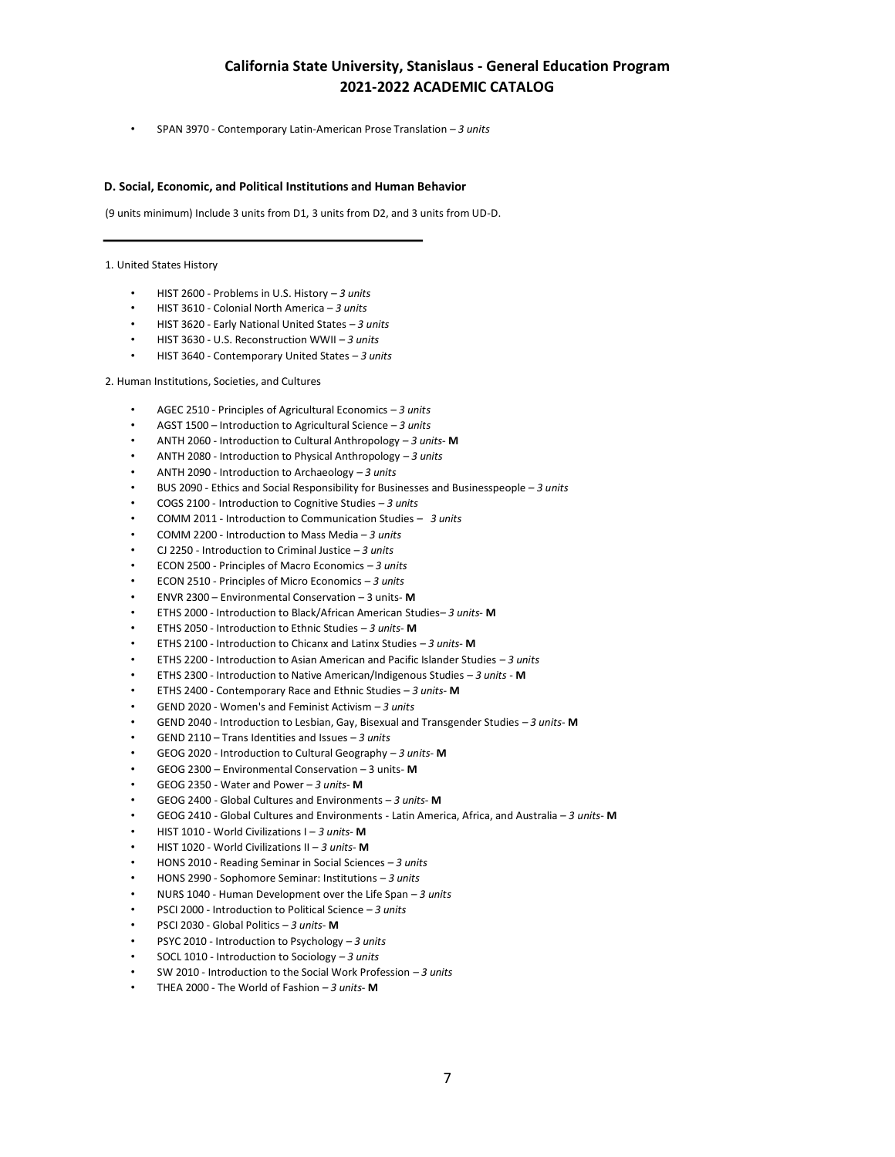• SPAN 3970 - Contemporary Latin-American Prose Translation *– 3 units*

## **D. Social, Economic, and Political Institutions and Human Behavior**

(9 units minimum) Include 3 units from D1, 3 units from D2, and 3 units from UD-D.

#### 1. United States History

- HIST 2600 Problems in U.S. History *– 3 units*
- HIST 3610 Colonial North America *– 3 units*
- HIST 3620 Early National United States *– 3 units*
- HIST 3630 U.S. Reconstruction WWII *– 3 units*
- HIST 3640 Contemporary United States *– 3 units*

2. Human Institutions, Societies, and Cultures

- AGEC 2510 Principles of Agricultural Economics *– 3 units*
- AGST 1500 Introduction to Agricultural Science *3 units*
- ANTH 2060 Introduction to Cultural Anthropology *– 3 units* **M**
- ANTH 2080 Introduction to Physical Anthropology *– 3 units*
- ANTH 2090 Introduction to Archaeology *– 3 units*
- BUS 2090 Ethics and Social Responsibility for Businesses and Businesspeople *– 3 units*
- COGS 2100 Introduction to Cognitive Studies *– 3 units*
- COMM 2011 Introduction to Communication Studies *– 3 units*
- COMM 2200 Introduction to Mass Media *– 3 units*
- CJ 2250 Introduction to Criminal Justice *– 3 units*
- ECON 2500 Principles of Macro Economics *– 3 units*
- ECON 2510 Principles of Micro Economics *– 3 units*
- ENVR 2300 Environmental Conservation 3 units- **M**
- ETHS 2000 Introduction to Black/African American Studies*– 3 units* **M**
- ETHS 2050 Introduction to Ethnic Studies *– 3 units* **M**
- ETHS 2100 Introduction to Chicanx and Latinx Studies *– 3 units* **M**
- ETHS 2200 Introduction to Asian American and Pacific Islander Studies *– 3 units*
- ETHS 2300 Introduction to Native American/Indigenous Studies *– 3 units* **M**
- ETHS 2400 Contemporary Race and Ethnic Studies *3 units* **M**
- GEND 2020 Women's and Feminist Activism *– 3 units*
- GEND 2040 Introduction to Lesbian, Gay, Bisexual and Transgender Studies *– 3 units* **M**
- GEND 2110 Trans Identities and Issues *3 units*
- GEOG 2020 Introduction to Cultural Geography *– 3 units* **M**
- GEOG 2300 Environmental Conservation 3 units- **M**
- GEOG 2350 Water and Power *– 3 units* **M**
- GEOG 2400 Global Cultures and Environments *– 3 units* **M**
- GEOG 2410 Global Cultures and Environments Latin America, Africa, and Australia *– 3 units* **M**
- HIST 1010 World Civilizations I *– 3 units* **M**
- HIST 1020 World Civilizations II *– 3 units* **M**
- HONS 2010 Reading Seminar in Social Sciences *– 3 units*
- HONS 2990 Sophomore Seminar: Institutions *– 3 units*
- NURS 1040 Human Development over the Life Span *– 3 units*
- PSCI 2000 Introduction to Political Science *– 3 units*
- PSCI 2030 Global Politics *– 3 units* **M**
- PSYC 2010 Introduction to Psychology *– 3 units*
- SOCL 1010 Introduction to Sociology *– 3 units*
- SW 2010 Introduction to the Social Work Profession *– 3 units*
- THEA 2000 The World of Fashion *– 3 units* **M**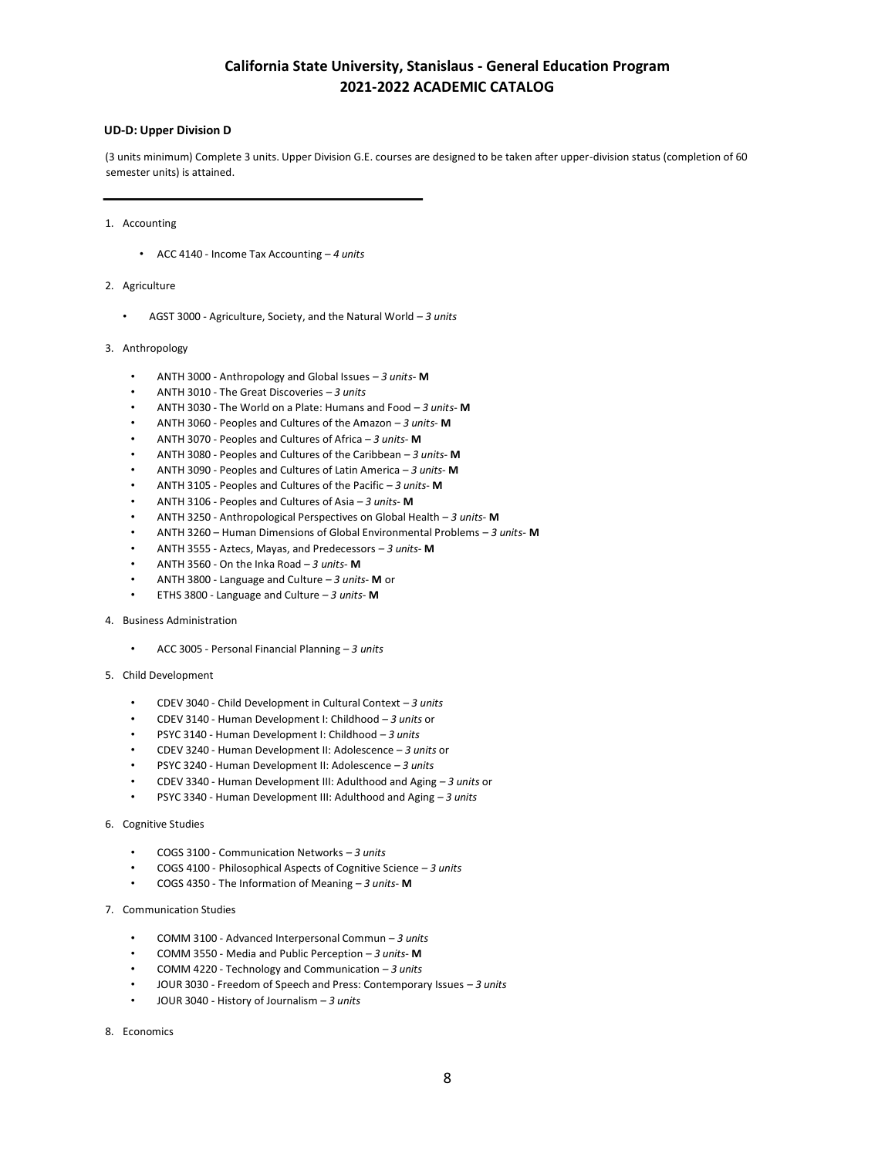# **UD-D: Upper Division D**

(3 units minimum) Complete 3 units. Upper Division G.E. courses are designed to be taken after upper-division status (completion of 60 semester units) is attained.

1. Accounting

- ACC 4140 Income Tax Accounting *4 units*
- 2. Agriculture
	- AGST 3000 Agriculture, Society, and the Natural World *– 3 units*
- 3. Anthropology
	- ANTH 3000 Anthropology and Global Issues *– 3 units* **M**
	- ANTH 3010 The Great Discoveries *– 3 units*
	- ANTH 3030 The World on a Plate: Humans and Food *– 3 units* **M**
	- ANTH 3060 Peoples and Cultures of the Amazon *– 3 units* **M**
	- ANTH 3070 Peoples and Cultures of Africa *– 3 units* **M**
	- ANTH 3080 Peoples and Cultures of the Caribbean *– 3 units* **M**
	- ANTH 3090 Peoples and Cultures of Latin America *– 3 units* **M**
	- ANTH 3105 Peoples and Cultures of the Pacific *– 3 units* **M**
	- ANTH 3106 Peoples and Cultures of Asia *– 3 units* **M**
	- ANTH 3250 Anthropological Perspectives on Global Health *3 units-* **M**
	- ANTH 3260 Human Dimensions of Global Environmental Problems *3 units-* **M**
	- ANTH 3555 Aztecs, Mayas, and Predecessors *– 3 units* **M**
	- ANTH 3560 On the Inka Road *– 3 units* **M**
	- ANTH 3800 Language and Culture *– 3 units* **M** or
	- ETHS 3800 Language and Culture *– 3 units* **M**
- 4. Business Administration
	- ACC 3005 Personal Financial Planning *– 3 units*
- 5. Child Development
	- CDEV 3040 Child Development in Cultural Context *– 3 units*
	- CDEV 3140 Human Development I: Childhood *– 3 units* or
	- PSYC 3140 Human Development I: Childhood *– 3 units*
	- CDEV 3240 Human Development II: Adolescence *– 3 units* or
	- PSYC 3240 Human Development II: Adolescence *– 3 units*
	- CDEV 3340 Human Development III: Adulthood and Aging *– 3 units* or
	- PSYC 3340 Human Development III: Adulthood and Aging *– 3 units*
- 6. Cognitive Studies
	- COGS 3100 Communication Networks *– 3 units*
	- COGS 4100 Philosophical Aspects of Cognitive Science *– 3 units*
	- COGS 4350 The Information of Meaning *– 3 units* **M**
- 7. Communication Studies
	- COMM 3100 Advanced Interpersonal Commun *– 3 units*
	- COMM 3550 Media and Public Perception *– 3 units* **M**
	- COMM 4220 Technology and Communication *– 3 units*
	- JOUR 3030 Freedom of Speech and Press: Contemporary Issues *– 3 units*
	- JOUR 3040 History of Journalism *– 3 units*
- 8. Economics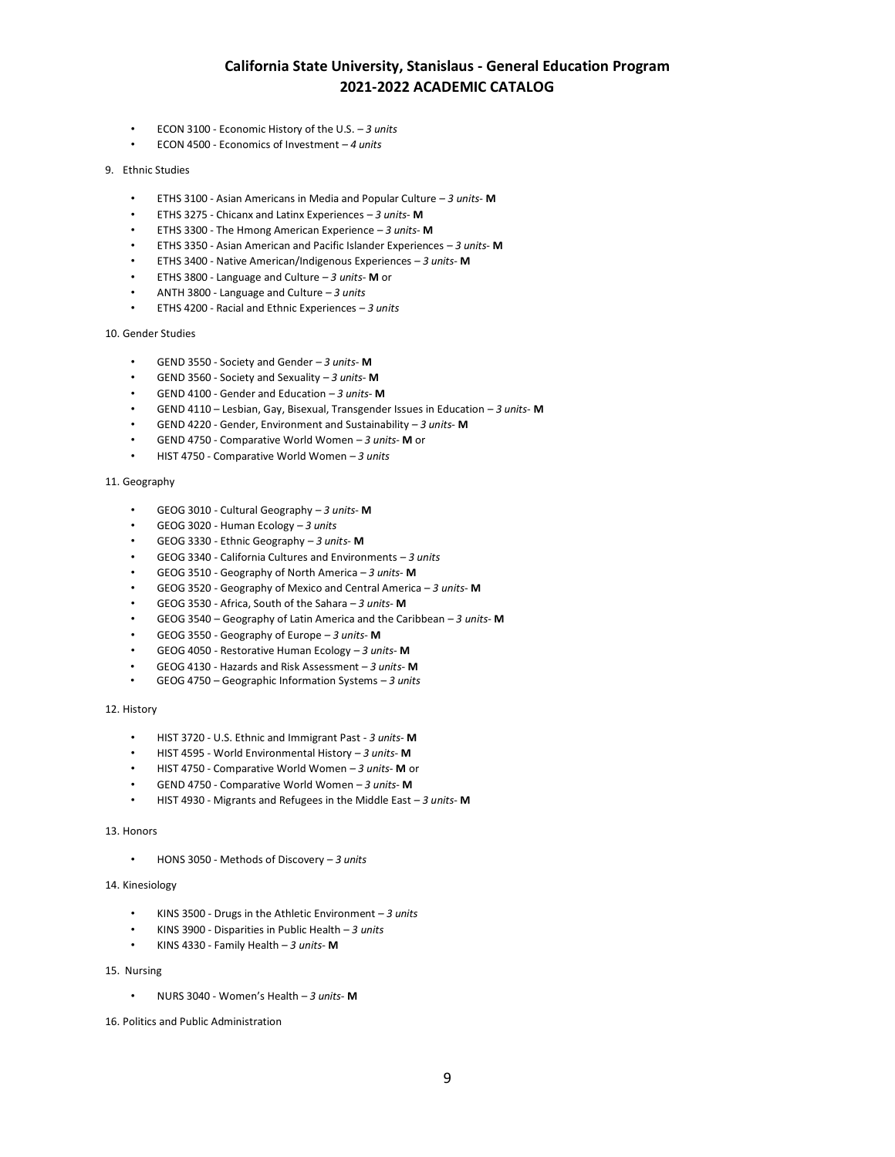- ECON 3100 Economic History of the U.S. *– 3 units*
- ECON 4500 Economics of Investment *– 4 units*
- 9. Ethnic Studies
	- ETHS 3100 Asian Americans in Media and Popular Culture *– 3 units* **M**
	- ETHS 3275 Chicanx and Latinx Experiences *– 3 units* **M**
	- ETHS 3300 The Hmong American Experience *– 3 units* **M**
	- ETHS 3350 Asian American and Pacific Islander Experiences *3 units-* **M**
	- ETHS 3400 Native American/Indigenous Experiences *– 3 units* **M**
	- ETHS 3800 Language and Culture *– 3 units* **M** or
	- ANTH 3800 Language and Culture *– 3 units*
	- ETHS 4200 Racial and Ethnic Experiences *– 3 units*

10. Gender Studies

- GEND 3550 Society and Gender *– 3 units* **M**
- GEND 3560 Society and Sexuality *– 3 units* **M**
- GEND 4100 Gender and Education *– 3 units* **M**
- GEND 4110 Lesbian, Gay, Bisexual, Transgender Issues in Education *– 3 units* **M**
- GEND 4220 Gender, Environment and Sustainability *– 3 units* **M**
- GEND 4750 Comparative World Women *– 3 units* **M** or
- HIST 4750 Comparative World Women *– 3 units*

### 11. Geography

- GEOG 3010 Cultural Geography *– 3 units* **M**
- GEOG 3020 Human Ecology *– 3 units*
- GEOG 3330 Ethnic Geography *– 3 units* **M**
- GEOG 3340 California Cultures and Environments *– 3 units*
- GEOG 3510 Geography of North America *– 3 units* **M**
- GEOG 3520 Geography of Mexico and Central America *– 3 units* **M**
- GEOG 3530 Africa, South of the Sahara *– 3 units* **M**
- GEOG 3540 Geography of Latin America and the Caribbean *– 3 units* **M**
- GEOG 3550 Geography of Europe *– 3 units* **M**
- GEOG 4050 Restorative Human Ecology *– 3 units* **M**
- GEOG 4130 Hazards and Risk Assessment *– 3 units* **M**
- GEOG 4750 Geographic Information Systems *3 units*

### 12. History

- HIST 3720 U.S. Ethnic and Immigrant Past *3 units-* **M**
- HIST 4595 World Environmental History *– 3 units* **M**
- HIST 4750 Comparative World Women *– 3 units* **M** or
- GEND 4750 Comparative World Women *– 3 units* **M**
- HIST 4930 Migrants and Refugees in the Middle East *– 3 units* **M**

## 13. Honors

• HONS 3050 - Methods of Discovery *– 3 units*

# 14. Kinesiology

- KINS 3500 Drugs in the Athletic Environment *– 3 units*
- KINS 3900 Disparities in Public Health *3 units*
- KINS 4330 Family Health *– 3 units* **M**

## 15. Nursing

• NURS 3040 - Women's Health – *3 units-* **M**

16. Politics and Public Administration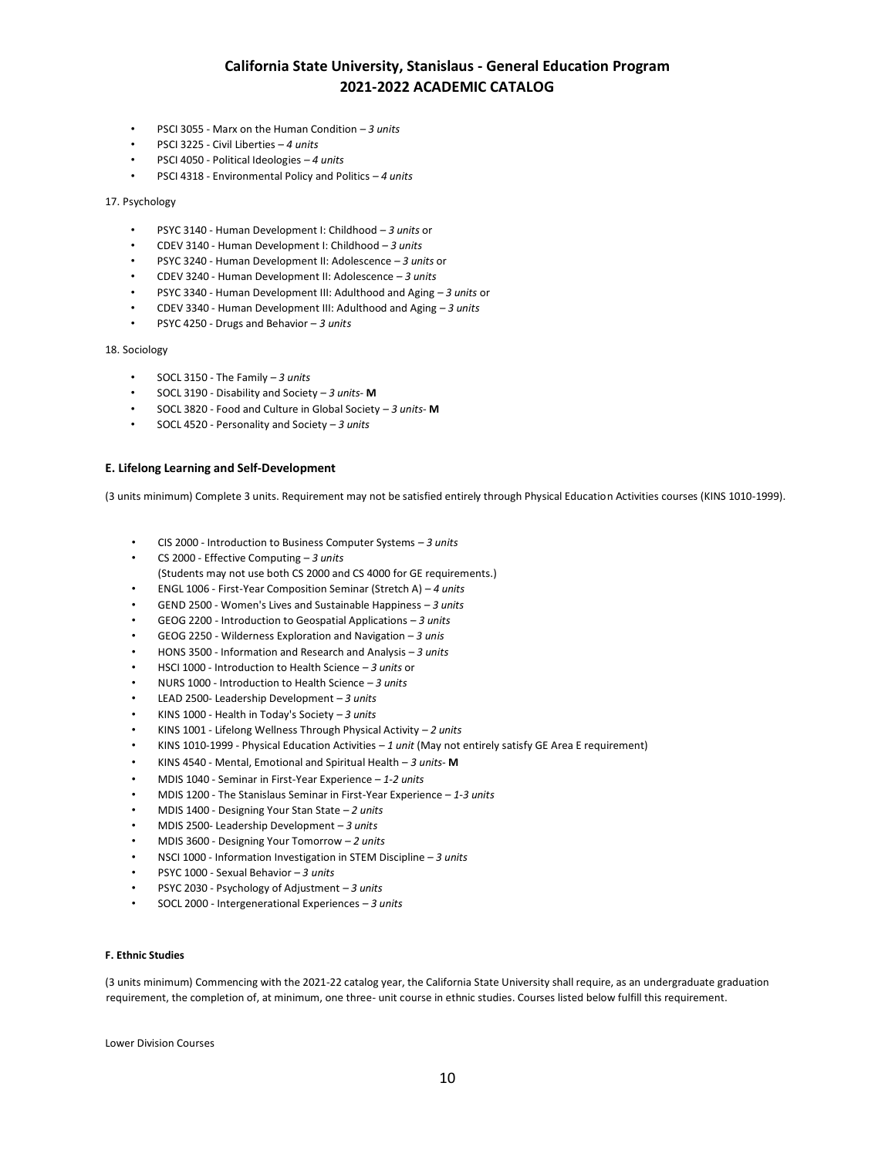- PSCI 3055 Marx on the Human Condition *– 3 units*
- PSCI 3225 Civil Liberties *– 4 units*
- PSCI 4050 Political Ideologies *– 4 units*
- PSCI 4318 Environmental Policy and Politics *– 4 units*

### 17. Psychology

- PSYC 3140 Human Development I: Childhood *– 3 units* or
- CDEV 3140 Human Development I: Childhood *– 3 units*
- PSYC 3240 Human Development II: Adolescence *– 3 units* or
- CDEV 3240 Human Development II: Adolescence *– 3 units*
- PSYC 3340 Human Development III: Adulthood and Aging *– 3 units* or
- CDEV 3340 Human Development III: Adulthood and Aging *– 3 units*
- PSYC 4250 Drugs and Behavior *– 3 units*

#### 18. Sociology

- SOCL 3150 The Family *– 3 units*
- SOCL 3190 Disability and Society *– 3 units* **M**
- SOCL 3820 Food and Culture in Global Society *– 3 units* **M**
- SOCL 4520 Personality and Society *– 3 units*

#### **E. Lifelong Learning and Self-Development**

(3 units minimum) Complete 3 units. Requirement may not be satisfied entirely through Physical Education Activities courses (KINS 1010-1999).

- CIS 2000 Introduction to Business Computer Systems *– 3 units*
- CS 2000 Effective Computing *– 3 units*
- (Students may not use both CS 2000 and CS 4000 for GE requirements.)
- ENGL 1006 First-Year Composition Seminar (Stretch A) *– 4 units*
- GEND 2500 Women's Lives and Sustainable Happiness *– 3 units*
- GEOG 2200 Introduction to Geospatial Applications *– 3 units*
- GEOG 2250 Wilderness Exploration and Navigation *– 3 unis*
- HONS 3500 Information and Research and Analysis *– 3 units*
- HSCI 1000 Introduction to Health Science *– 3 units* or
- NURS 1000 Introduction to Health Science *– 3 units*
- LEAD 2500- Leadership Development *– 3 units*
- KINS 1000 Health in Today's Society *– 3 units*
- KINS 1001 Lifelong Wellness Through Physical Activity *– 2 units*
- KINS 1010-1999 Physical Education Activities *– 1 unit* (May not entirely satisfy GE Area E requirement)
- KINS 4540 Mental, Emotional and Spiritual Health *3 units-* **M**
- MDIS 1040 Seminar in First-Year Experience *– 1-2 units*
- MDIS 1200 The Stanislaus Seminar in First-Year Experience *– 1-3 units*
- MDIS 1400 Designing Your Stan State *– 2 units*
- MDIS 2500- Leadership Development *– 3 units*
- MDIS 3600 Designing Your Tomorrow *– 2 units*
- NSCI 1000 Information Investigation in STEM Discipline *– 3 units*
- PSYC 1000 Sexual Behavior *– 3 units*
- PSYC 2030 Psychology of Adjustment *– 3 units*
- SOCL 2000 Intergenerational Experiences *– 3 units*

# **F. Ethnic Studies**

(3 units minimum) Commencing with the 2021-22 catalog year, the California State University shall require, as an undergraduate graduation requirement, the completion of, at minimum, one three- unit course in ethnic studies. Courses listed below fulfill this requirement.

Lower Division Courses